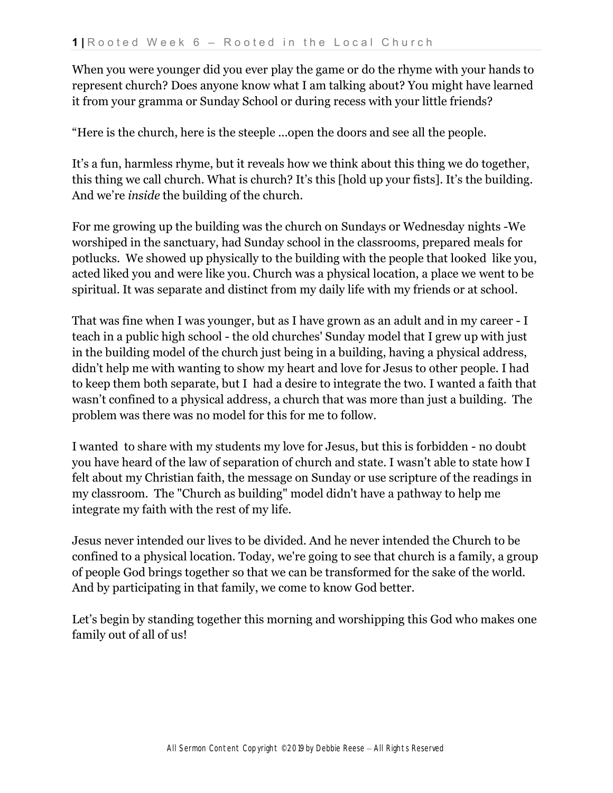When you were younger did you ever play the game or do the rhyme with your hands to represent church? Does anyone know what I am talking about? You might have learned it from your gramma or Sunday School or during recess with your little friends?

"Here is the church, here is the steeple ...open the doors and see all the people.

It's a fun, harmless rhyme, but it reveals how we think about this thing we do together, this thing we call church. What is church? It's this [hold up your fists]. It's the building. And we're *inside* the building of the church.

For me growing up the building was the church on Sundays or Wednesday nights -We worshiped in the sanctuary, had Sunday school in the classrooms, prepared meals for potlucks. We showed up physically to the building with the people that looked like you, acted liked you and were like you. Church was a physical location, a place we went to be spiritual. It was separate and distinct from my daily life with my friends or at school.

That was fine when I was younger, but as I have grown as an adult and in my career - I teach in a public high school - the old churches' Sunday model that I grew up with just in the building model of the church just being in a building, having a physical address, didn't help me with wanting to show my heart and love for Jesus to other people. I had to keep them both separate, but I had a desire to integrate the two. I wanted a faith that wasn't confined to a physical address, a church that was more than just a building. The problem was there was no model for this for me to follow.

I wanted to share with my students my love for Jesus, but this is forbidden - no doubt you have heard of the law of separation of church and state. I wasn't able to state how I felt about my Christian faith, the message on Sunday or use scripture of the readings in my classroom. The "Church as building" model didn't have a pathway to help me integrate my faith with the rest of my life.

Jesus never intended our lives to be divided. And he never intended the Church to be confined to a physical location. Today, we're going to see that church is a family, a group of people God brings together so that we can be transformed for the sake of the world. And by participating in that family, we come to know God better.

Let's begin by standing together this morning and worshipping this God who makes one family out of all of us!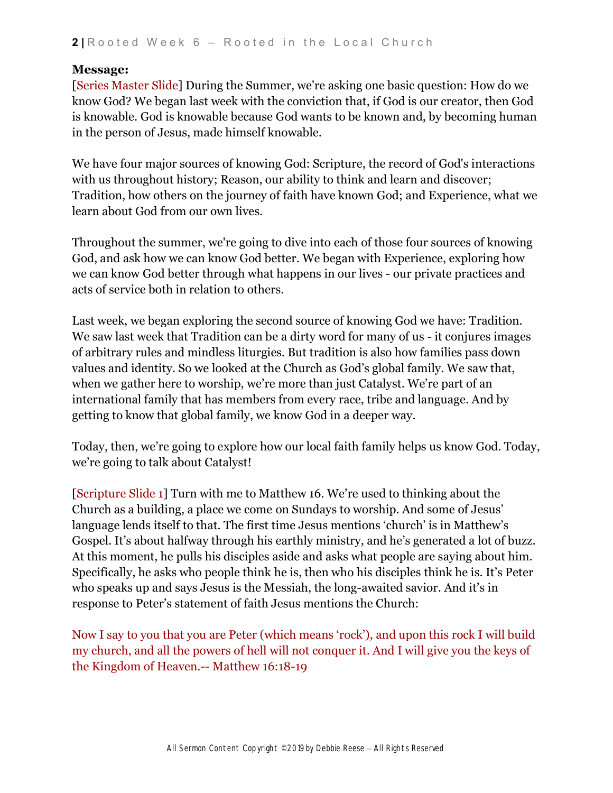## **Message:**

[Series Master Slide] During the Summer, we're asking one basic question: How do we know God? We began last week with the conviction that, if God is our creator, then God is knowable. God is knowable because God wants to be known and, by becoming human in the person of Jesus, made himself knowable.

We have four major sources of knowing God: Scripture, the record of God's interactions with us throughout history; Reason, our ability to think and learn and discover; Tradition, how others on the journey of faith have known God; and Experience, what we learn about God from our own lives.

Throughout the summer, we're going to dive into each of those four sources of knowing God, and ask how we can know God better. We began with Experience, exploring how we can know God better through what happens in our lives - our private practices and acts of service both in relation to others.

Last week, we began exploring the second source of knowing God we have: Tradition. We saw last week that Tradition can be a dirty word for many of us - it conjures images of arbitrary rules and mindless liturgies. But tradition is also how families pass down values and identity. So we looked at the Church as God's global family. We saw that, when we gather here to worship, we're more than just Catalyst. We're part of an international family that has members from every race, tribe and language. And by getting to know that global family, we know God in a deeper way.

Today, then, we're going to explore how our local faith family helps us know God. Today, we're going to talk about Catalyst!

[Scripture Slide 1] Turn with me to Matthew 16. We're used to thinking about the Church as a building, a place we come on Sundays to worship. And some of Jesus' language lends itself to that. The first time Jesus mentions 'church' is in Matthew's Gospel. It's about halfway through his earthly ministry, and he's generated a lot of buzz. At this moment, he pulls his disciples aside and asks what people are saying about him. Specifically, he asks who people think he is, then who his disciples think he is. It's Peter who speaks up and says Jesus is the Messiah, the long-awaited savior. And it's in response to Peter's statement of faith Jesus mentions the Church:

Now I say to you that you are Peter (which means 'rock'), and upon this rock I will build my church, and all the powers of hell will not conquer it. And I will give you the keys of the Kingdom of Heaven.-- Matthew 16:18-19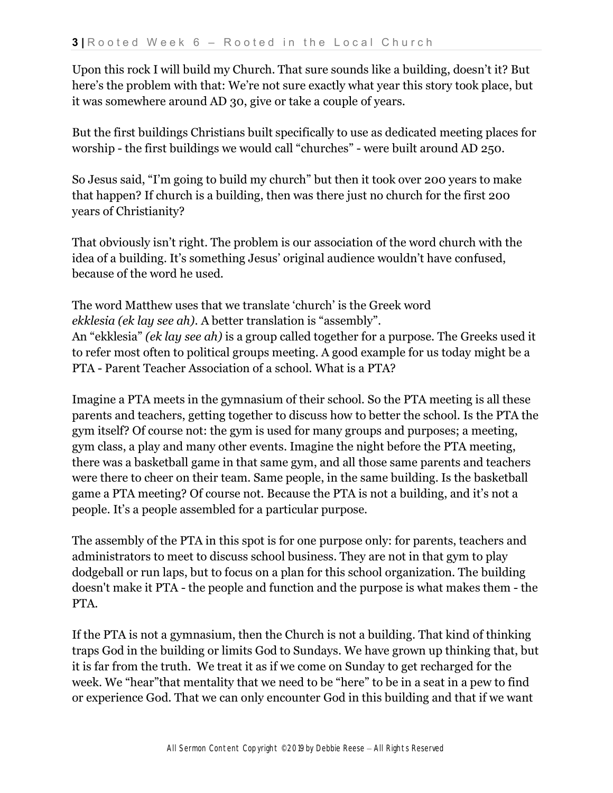Upon this rock I will build my Church. That sure sounds like a building, doesn't it? But here's the problem with that: We're not sure exactly what year this story took place, but it was somewhere around AD 30, give or take a couple of years.

But the first buildings Christians built specifically to use as dedicated meeting places for worship - the first buildings we would call "churches" - were built around AD 250.

So Jesus said, "I'm going to build my church" but then it took over 200 years to make that happen? If church is a building, then was there just no church for the first 200 years of Christianity?

That obviously isn't right. The problem is our association of the word church with the idea of a building. It's something Jesus' original audience wouldn't have confused, because of the word he used.

The word Matthew uses that we translate 'church' is the Greek word *ekklesia (ek lay see ah)*. A better translation is "assembly". An "ekklesia" *(ek lay see ah)* is a group called together for a purpose. The Greeks used it to refer most often to political groups meeting. A good example for us today might be a PTA - Parent Teacher Association of a school. What is a PTA?

Imagine a PTA meets in the gymnasium of their school. So the PTA meeting is all these parents and teachers, getting together to discuss how to better the school. Is the PTA the gym itself? Of course not: the gym is used for many groups and purposes; a meeting, gym class, a play and many other events. Imagine the night before the PTA meeting, there was a basketball game in that same gym, and all those same parents and teachers were there to cheer on their team. Same people, in the same building. Is the basketball game a PTA meeting? Of course not. Because the PTA is not a building, and it's not a people. It's a people assembled for a particular purpose.

The assembly of the PTA in this spot is for one purpose only: for parents, teachers and administrators to meet to discuss school business. They are not in that gym to play dodgeball or run laps, but to focus on a plan for this school organization. The building doesn't make it PTA - the people and function and the purpose is what makes them - the PTA.

If the PTA is not a gymnasium, then the Church is not a building. That kind of thinking traps God in the building or limits God to Sundays. We have grown up thinking that, but it is far from the truth. We treat it as if we come on Sunday to get recharged for the week. We "hear"that mentality that we need to be "here" to be in a seat in a pew to find or experience God. That we can only encounter God in this building and that if we want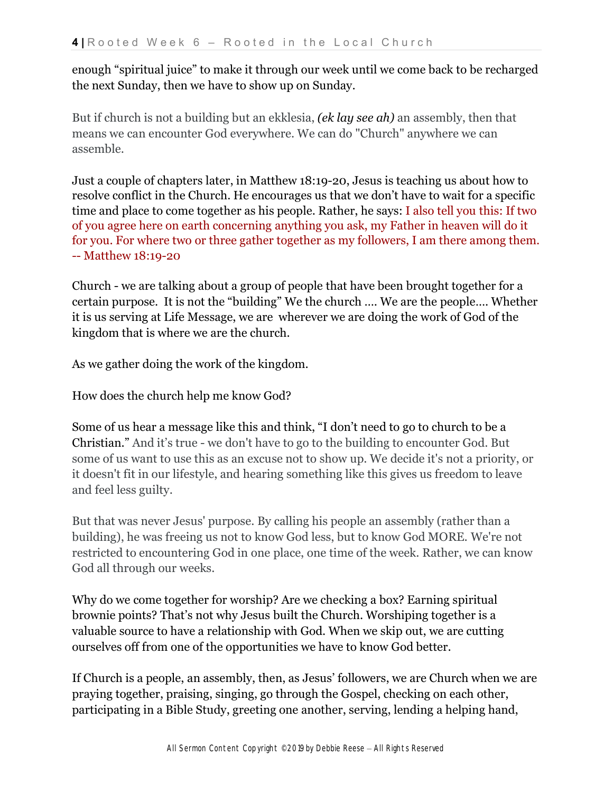enough "spiritual juice" to make it through our week until we come back to be recharged the next Sunday, then we have to show up on Sunday.

But if church is not a building but an ekklesia, *(ek lay see ah)* an assembly, then that means we can encounter God everywhere. We can do "Church" anywhere we can assemble.

Just a couple of chapters later, in Matthew 18:19-20, Jesus is teaching us about how to resolve conflict in the Church. He encourages us that we don't have to wait for a specific time and place to come together as his people. Rather, he says: I also tell you this: If two of you agree here on earth concerning anything you ask, my Father in heaven will do it for you. For where two or three gather together as my followers, I am there among them. -- Matthew 18:19-20

Church - we are talking about a group of people that have been brought together for a certain purpose. It is not the "building" We the church …. We are the people…. Whether it is us serving at Life Message, we are wherever we are doing the work of God of the kingdom that is where we are the church.

As we gather doing the work of the kingdom.

How does the church help me know God?

Some of us hear a message like this and think, "I don't need to go to church to be a Christian." And it's true - we don't have to go to the building to encounter God. But some of us want to use this as an excuse not to show up. We decide it's not a priority, or it doesn't fit in our lifestyle, and hearing something like this gives us freedom to leave and feel less guilty.

But that was never Jesus' purpose. By calling his people an assembly (rather than a building), he was freeing us not to know God less, but to know God MORE. We're not restricted to encountering God in one place, one time of the week. Rather, we can know God all through our weeks.

Why do we come together for worship? Are we checking a box? Earning spiritual brownie points? That's not why Jesus built the Church. Worshiping together is a valuable source to have a relationship with God. When we skip out, we are cutting ourselves off from one of the opportunities we have to know God better.

If Church is a people, an assembly, then, as Jesus' followers, we are Church when we are praying together, praising, singing, go through the Gospel, checking on each other, participating in a Bible Study, greeting one another, serving, lending a helping hand,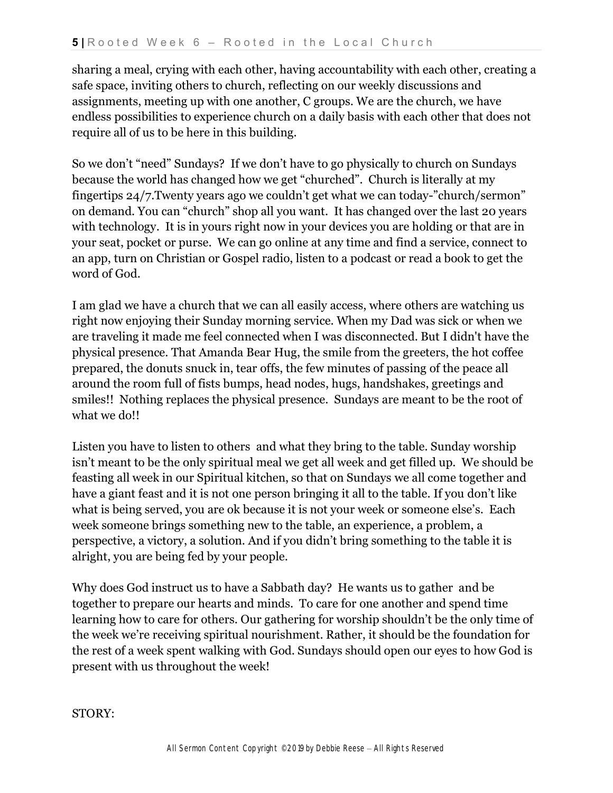sharing a meal, crying with each other, having accountability with each other, creating a safe space, inviting others to church, reflecting on our weekly discussions and assignments, meeting up with one another, C groups. We are the church, we have endless possibilities to experience church on a daily basis with each other that does not require all of us to be here in this building.

So we don't "need" Sundays? If we don't have to go physically to church on Sundays because the world has changed how we get "churched". Church is literally at my fingertips 24/7.Twenty years ago we couldn't get what we can today-"church/sermon" on demand. You can "church" shop all you want. It has changed over the last 20 years with technology. It is in yours right now in your devices you are holding or that are in your seat, pocket or purse. We can go online at any time and find a service, connect to an app, turn on Christian or Gospel radio, listen to a podcast or read a book to get the word of God.

I am glad we have a church that we can all easily access, where others are watching us right now enjoying their Sunday morning service. When my Dad was sick or when we are traveling it made me feel connected when I was disconnected. But I didn't have the physical presence. That Amanda Bear Hug, the smile from the greeters, the hot coffee prepared, the donuts snuck in, tear offs, the few minutes of passing of the peace all around the room full of fists bumps, head nodes, hugs, handshakes, greetings and smiles!! Nothing replaces the physical presence. Sundays are meant to be the root of what we do!!

Listen you have to listen to others and what they bring to the table. Sunday worship isn't meant to be the only spiritual meal we get all week and get filled up. We should be feasting all week in our Spiritual kitchen, so that on Sundays we all come together and have a giant feast and it is not one person bringing it all to the table. If you don't like what is being served, you are ok because it is not your week or someone else's. Each week someone brings something new to the table, an experience, a problem, a perspective, a victory, a solution. And if you didn't bring something to the table it is alright, you are being fed by your people.

Why does God instruct us to have a Sabbath day? He wants us to gather and be together to prepare our hearts and minds. To care for one another and spend time learning how to care for others. Our gathering for worship shouldn't be the only time of the week we're receiving spiritual nourishment. Rather, it should be the foundation for the rest of a week spent walking with God. Sundays should open our eyes to how God is present with us throughout the week!

STORY: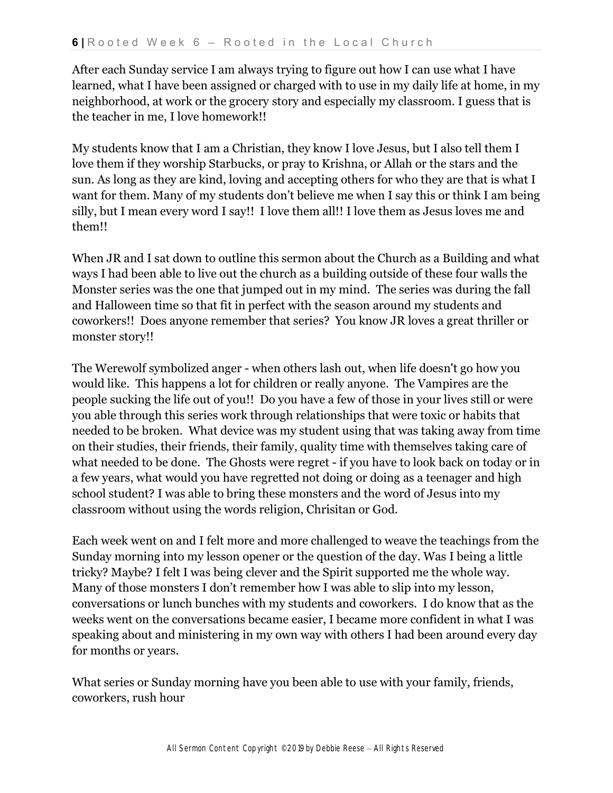After each Sunday service I am always trying to figure out how I can use what I have learned, what I have been assigned or charged with to use in my daily life at home, in my neighborhood, at work or the grocery story and especially my classroom. I guess that is the teacher in me, I love homework!!

My students know that I am a Christian, they know I love Jesus, but I also tell them I love them if they worship Starbucks, or pray to Krishna, or Allah or the stars and the sun. As long as they are kind, loving and accepting others for who they are that is what I want for them. Many of my students don't believe me when I say this or think I am being silly, but I mean every word I say!! I love them all!! I love them as Jesus loves me and them!!

When JR and I sat down to outline this sermon about the Church as a Building and what ways I had been able to live out the church as a building outside of these four walls the Monster series was the one that jumped out in my mind. The series was during the fall and Halloween time so that fit in perfect with the season around my students and coworkers!! Does anyone remember that series? You know JR loves a great thriller or monster story!!

The Werewolf symbolized anger - when others lash out, when life doesn't go how you would like. This happens a lot for children or really anyone. The Vampires are the people sucking the life out of you!! Do you have a few of those in your lives still or were you able through this series work through relationships that were toxic or habits that needed to be broken. What device was my student using that was taking away from time on their studies, their friends, their family, quality time with themselves taking care of what needed to be done. The Ghosts were regret - if you have to look back on today or in a few years, what would you have regretted not doing or doing as a teenager and high school student? I was able to bring these monsters and the word of Jesus into my classroom without using the words religion, Chrisitan or God.

Each week went on and I felt more and more challenged to weave the teachings from the Sunday morning into my lesson opener or the question of the day. Was I being a little tricky? Maybe? I felt I was being clever and the Spirit supported me the whole way. Many of those monsters I don't remember how I was able to slip into my lesson, conversations or lunch bunches with my students and coworkers. I do know that as the weeks went on the conversations became easier, I became more confident in what I was speaking about and ministering in my own way with others I had been around every day for months or years.

What series or Sunday morning have you been able to use with your family, friends, coworkers, rush hour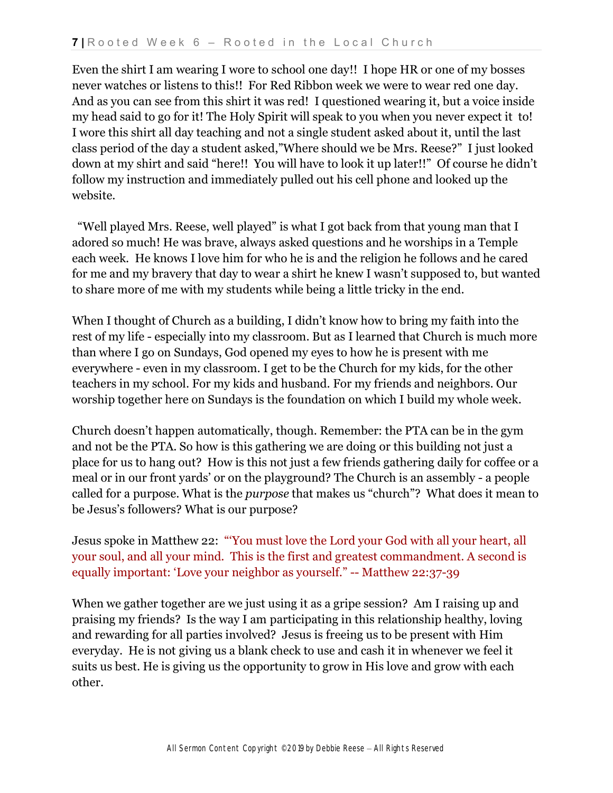Even the shirt I am wearing I wore to school one day!! I hope HR or one of my bosses never watches or listens to this!! For Red Ribbon week we were to wear red one day. And as you can see from this shirt it was red! I questioned wearing it, but a voice inside my head said to go for it! The Holy Spirit will speak to you when you never expect it to! I wore this shirt all day teaching and not a single student asked about it, until the last class period of the day a student asked,"Where should we be Mrs. Reese?" I just looked down at my shirt and said "here!! You will have to look it up later!!" Of course he didn't follow my instruction and immediately pulled out his cell phone and looked up the website.

 "Well played Mrs. Reese, well played" is what I got back from that young man that I adored so much! He was brave, always asked questions and he worships in a Temple each week. He knows I love him for who he is and the religion he follows and he cared for me and my bravery that day to wear a shirt he knew I wasn't supposed to, but wanted to share more of me with my students while being a little tricky in the end.

When I thought of Church as a building, I didn't know how to bring my faith into the rest of my life - especially into my classroom. But as I learned that Church is much more than where I go on Sundays, God opened my eyes to how he is present with me everywhere - even in my classroom. I get to be the Church for my kids, for the other teachers in my school. For my kids and husband. For my friends and neighbors. Our worship together here on Sundays is the foundation on which I build my whole week.

Church doesn't happen automatically, though. Remember: the PTA can be in the gym and not be the PTA. So how is this gathering we are doing or this building not just a place for us to hang out? How is this not just a few friends gathering daily for coffee or a meal or in our front yards' or on the playground? The Church is an assembly - a people called for a purpose. What is the *purpose* that makes us "church"? What does it mean to be Jesus's followers? What is our purpose?

Jesus spoke in Matthew 22: "'You must love the Lord your God with all your heart, all your soul, and all your mind. This is the first and greatest commandment. A second is equally important: 'Love your neighbor as yourself." -- Matthew 22:37-39

When we gather together are we just using it as a gripe session? Am I raising up and praising my friends? Is the way I am participating in this relationship healthy, loving and rewarding for all parties involved? Jesus is freeing us to be present with Him everyday. He is not giving us a blank check to use and cash it in whenever we feel it suits us best. He is giving us the opportunity to grow in His love and grow with each other.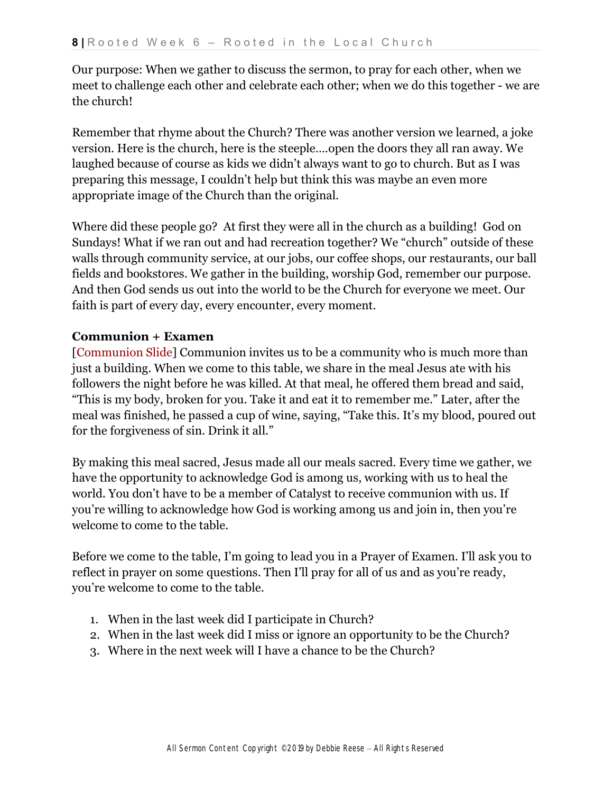Our purpose: When we gather to discuss the sermon, to pray for each other, when we meet to challenge each other and celebrate each other; when we do this together - we are the church!

Remember that rhyme about the Church? There was another version we learned, a joke version. Here is the church, here is the steeple….open the doors they all ran away. We laughed because of course as kids we didn't always want to go to church. But as I was preparing this message, I couldn't help but think this was maybe an even more appropriate image of the Church than the original.

Where did these people go? At first they were all in the church as a building! God on Sundays! What if we ran out and had recreation together? We "church" outside of these walls through community service, at our jobs, our coffee shops, our restaurants, our ball fields and bookstores. We gather in the building, worship God, remember our purpose. And then God sends us out into the world to be the Church for everyone we meet. Our faith is part of every day, every encounter, every moment.

## **Communion + Examen**

[Communion Slide] Communion invites us to be a community who is much more than just a building. When we come to this table, we share in the meal Jesus ate with his followers the night before he was killed. At that meal, he offered them bread and said, "This is my body, broken for you. Take it and eat it to remember me." Later, after the meal was finished, he passed a cup of wine, saying, "Take this. It's my blood, poured out for the forgiveness of sin. Drink it all."

By making this meal sacred, Jesus made all our meals sacred. Every time we gather, we have the opportunity to acknowledge God is among us, working with us to heal the world. You don't have to be a member of Catalyst to receive communion with us. If you're willing to acknowledge how God is working among us and join in, then you're welcome to come to the table.

Before we come to the table, I'm going to lead you in a Prayer of Examen. I'll ask you to reflect in prayer on some questions. Then I'll pray for all of us and as you're ready, you're welcome to come to the table.

- 1. When in the last week did I participate in Church?
- 2. When in the last week did I miss or ignore an opportunity to be the Church?
- 3. Where in the next week will I have a chance to be the Church?